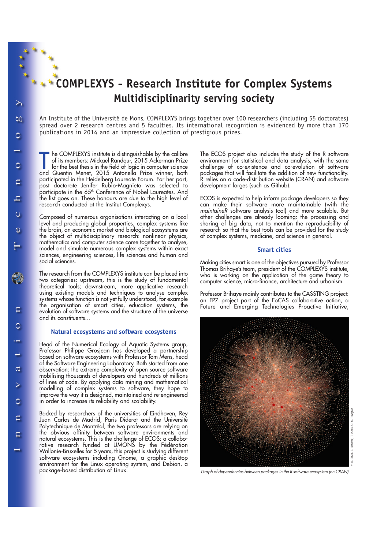# **COMPLEXYS - Research Institute for Complex Systems Multidisciplinarity serving society**

An Institute of the Université de Mons, COMPLEXYS brings together over 100 researchers (including 55 doctorates) spread over 2 research centres and 5 faculties. Its international recognition is evidenced by more than 170 publications in 2014 and an impressive collection of prestigious prizes.

The COMPLEXYS institute is distinguishable by the calibre<br>of its members: Mickael Randour, 2015 Ackerman Prize<br>for the best thesis in the field of logic in computer science<br>and Quentin Menet, 2015 Antonella Prize winner, b he COMPLEXYS institute is distinguishable by the calibre of its members: Mickael Randour, 2015 Ackerman Prize for the best thesis in the field of logic in computer science participated in the Heidelberg Laureate Forum. For her part, post doctorate Jenifer Rubio-Magnieto was selected to participate in the 65<sup>th</sup> Conference of Nobel Laureates. And the list goes on. These honours are due to the high level of research conducted at the Institut Complexys.

Composed of numerous organisations interacting on a local level and producing global properties, complex systems like the brain, an economic market and biological ecosystems are the object of multidisciplinary research: nonlinear physics, mathematics and computer science come together to analyse, model and simulate numerous complex systems within exact sciences, engineering sciences, life sciences and human and social sciences.

The research from the COMPLEXYS institute can be placed into two categories: upstream, this is the study of fundamental theoretical tools; downstream, more applicative research using existing models and techniques to analyse complex systems whose function is not yet fully understood, for example the organisation of smart cities, education systems, the evolution of software systems and the structure of the universe and its constituents…

## **Natural ecosystems and software ecosystems**

Head of the Numerical Ecology of Aquatic Systems group, Professor Philippe Grosjean has developed a partnership based on software ecosystems with Professor Tom Mens, head of the Software Engineering Laboratory. Both started from one observation: the extreme complexity of open source software mobilising thousands of developers and hundreds of millions of lines of code. By applying data mining and mathematical modelling of complex systems to software, they hope to improve the way it is designed, maintained and re-engineered in order to increase its reliability and scalability.

Backed by researchers of the universities of Eindhoven, Rey Juan Carlos de Madrid, Paris Diderot and the Université Polytechnique de Montréal, the two professors are relying on the obvious affinity between software environments and natural ecosystems. This is the challenge of ECOS: a collaborative research funded at UMONS by the Fédération Wallonie-Bruxelles for 5 years, this project is studying different software ecosystems including Gnome, a graphic desktop environment for the Linux operating system, and Debian, a package-based distribution of Linux.

The ECOS project also includes the study of the R software environment for statistical and data analysis, with the same challenge of co-existence and co-evolution of software packages that will facilitate the addition of new functionality. R relies on a code-distribution website (CRAN) and software development forges (such as Github).

ECOS is expected to help inform package developers so they can make their software more maintainable (with the maintaineR software analysis tool) and more scalable. But other challenges are already looming: the processing and sharing of big data, not to mention the reproducibility of research so that the best tools can be provided for the study of complex systems, medicine, and science in general.

### **Smart cities**

Making cities smart is one of the objectives pursued by Professor Thomas Brihaye's team, president of the COMPLEXYS institute, who is working on the application of the game theory to computer science, micro-finance, architecture and urbanism.

Professor Brihaye mainly contributes to the CASSTING project: an FP7 project part of the FoCAS collaborative action, a Future and Emerging Technologies Proactive Initiative,



 $\geq$ 

bn

Ō